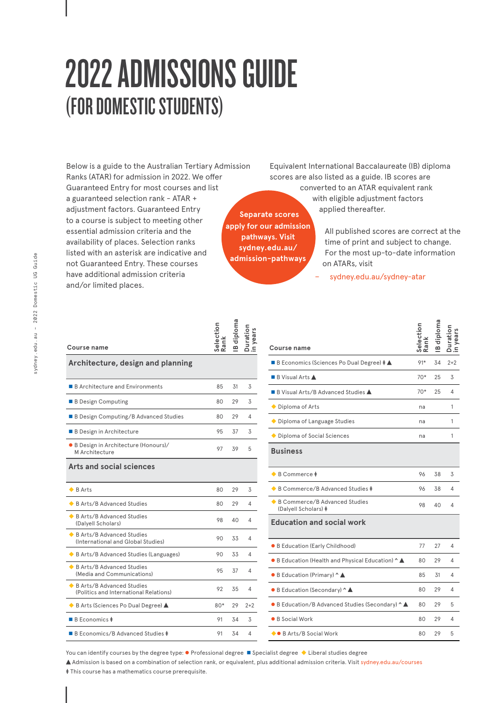# 2022 ADMISSIONS GUIDE (FOR DOMESTIC STUDENTS)

Below is a guide to the Australian Tertiary Admission Ranks (ATAR) for admission in 2022. We offer Guaranteed Entry for most courses and list a guaranteed selection rank - ATAR + adjustment factors. Guaranteed Entry to a course is subject to meeting other essential admission criteria and the availability of places. Selection ranks listed with an asterisk are indicative and not Guaranteed Entry. These courses have additional admission criteria and/or limited places.

Equivalent International Baccalaureate (IB) diploma scores are also listed as a guide. IB scores are converted to an ATAR equivalent rank with eligible adjustment factors applied thereafter.

**Separate scores apply for our admission pathways. Visit sydney.edu.au/ admission-pathways**

**i**<br>**i**oma<br>ion<br>rs

All published scores are correct at the time of print and subject to change. For the most up-to-date information on ATARs, visit

− sydney.edu.au/sydney-atar

| Course name                                                           | election<br>Rank |    |       |
|-----------------------------------------------------------------------|------------------|----|-------|
| Architecture, design and planning                                     |                  |    |       |
| ■ B Architecture and Environments                                     | 85               | 31 | 3     |
| B Design Computing                                                    | 80               | 29 | 3     |
| ■ B Design Computing/B Advanced Studies                               | 80               | 29 | 4     |
| <b>B</b> Design in Architecture                                       | 95               | 37 | 3     |
| · B Design in Architecture (Honours)/<br>M Architecture               | 97               | 39 | 5     |
| Arts and social sciences                                              |                  |    |       |
| $\bullet$ B Arts                                                      | 80               | 29 | 3     |
| ◆ B Arts/B Advanced Studies                                           | 80               | 29 | 4     |
| ◆ B Arts/B Advanced Studies<br>(Dalyell Scholars)                     | 98               | 40 | 4     |
| ◆ B Arts/B Advanced Studies<br>(International and Global Studies)     | 90               | 33 | 4     |
| B Arts/B Advanced Studies (Languages)                                 | 90               | 33 | 4     |
| ◆ B Arts/B Advanced Studies<br>(Media and Communications)             | 95               | 37 | 4     |
| ◆ B Arts/B Advanced Studies<br>(Politics and International Relations) | 92               | 35 | 4     |
| B Arts (Sciences Po Dual Degree) ▲                                    | $80*$            | 29 | $2+2$ |
| $\blacksquare$ B Economics $\pm$                                      | 91               | 34 | 3     |
| ■ B Economics/B Advanced Studies ‡                                    | 91               | 34 | 4     |

| Course name                                                 | Selection<br>Ranl | ploma |         |
|-------------------------------------------------------------|-------------------|-------|---------|
| ■ B Economics (Sciences Po Dual Degree) $\dagger \triangle$ | 91*               | 34    | $2 + 2$ |
| $\blacksquare$ B Visual Arts $\blacktriangle$               | $70*$             | 25    | 3       |
| ■ B Visual Arts/B Advanced Studies ▲                        | $70*$             | 25    | 4       |
| ◆ Diploma of Arts                                           | na                |       | 1       |
| ◆ Diploma of Language Studies                               | na                |       | 1       |
| ◆ Diploma of Social Sciences                                | na                |       | 1       |
| <b>Business</b>                                             |                   |       |         |
| $\bullet$ B Commerce $\ddagger$                             | 96                | 38    | 3       |
| ◆ B Commerce/B Advanced Studies ‡                           | 96                | 38    | 4       |
| ◆ B Commerce/B Advanced Studies<br>(Dalyell Scholars) ‡     | 98                | 40    | 4       |
| <b>Education and social work</b>                            |                   |       |         |
| • B Education (Early Childhood)                             | 77                | 27    | 4       |
| ● B Education (Health and Physical Education) ^ ▲           | 80                | 29    | 4       |
| ● B Education (Primary) ^ ▲                                 | 85                | 31    | 4       |
| ● B Education (Secondary) ^ ▲                               | 80                | 29    | 4       |
| ● B Education/B Advanced Studies (Secondary) ^ ▲            | 80                | 29    | 5       |
| ● B Social Work                                             | 80                | 29    | 4       |
| ◆● B Arts/B Social Work                                     | 80                | 29    | 5       |

You can identify courses by the degree type:  $\bullet$  Professional degree  $\bullet$  Specialist degree  $\bullet$  Liberal studies degree

Admission is based on a combination of selection rank, or equivalent, plus additional admission criteria. Visit sydney.edu.au/courses

**‡** This course has a mathematics course prerequisite.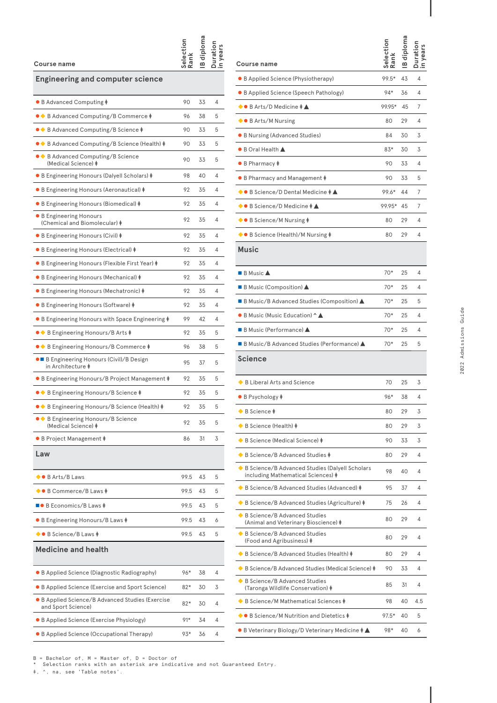### **Course name**

# **Engineering and computer science**

**Selection** 

**Rank in years IB diploma Duration** 

| • B Advanced Computing ‡                                                | 90    | 33 | 4 |
|-------------------------------------------------------------------------|-------|----|---|
| ●◆ B Advanced Computing/B Commerce ‡                                    | 96    | 38 | 5 |
| ●◆ B Advanced Computing/B Science <b>‡</b>                              | 90    | 33 | 5 |
| ●◆ B Advanced Computing/B Science (Health) ‡                            | 90    | 33 | 5 |
| $\bullet \bullet$ B Advanced Computing/B Science<br>(Medical Science) ‡ | 90    | 33 | 5 |
| • B Engineering Honours (Dalyell Scholars) ‡                            | 98    | 40 | 4 |
| • B Engineering Honours (Aeronautical) ‡                                | 92    | 35 | 4 |
| • B Engineering Honours (Biomedical) ‡                                  | 92    | 35 | 4 |
| ● B Engineering Honours<br>(Chemical and Biomolecular) ‡                | 92    | 35 | 4 |
| • B Engineering Honours (Civil) ‡                                       | 92    | 35 | 4 |
| • B Engineering Honours (Electrical) ‡                                  | 92    | 35 | 4 |
| • B Engineering Honours (Flexible First Year) ‡                         | 92    | 35 | 4 |
| • B Engineering Honours (Mechanical) ‡                                  | 92    | 35 | 4 |
| • B Engineering Honours (Mechatronic) ‡                                 | 92    | 35 | 4 |
| • B Engineering Honours (Software) ‡                                    | 92    | 35 | 4 |
| • B Engineering Honours with Space Engineering $\dagger$                | 99    | 42 | 4 |
| $\bullet \bullet$ B Engineering Honours/B Arts $\ddagger$               | 92    | 35 | 5 |
| • B Engineering Honours/B Commerce ‡                                    | 96    | 38 | 5 |
| • B Engineering Honours (Civil)/B Design<br>in Architecture <b>‡</b>    | 95    | 37 | 5 |
| • B Engineering Honours/B Project Management ‡                          | 92    | 35 | 5 |
| ●◆ B Engineering Honours/B Science ‡                                    | 92    | 35 | 5 |
| ●◆ B Engineering Honours/B Science (Health) ‡                           | 92    | 35 | 5 |
| ● ◆ B Engineering Honours/B Science<br>(Medical Science) $\pm$          | 92    | 35 | 5 |
| • B Project Management ‡                                                | 86    | 31 | 3 |
| Law                                                                     |       |    |   |
| ● B Arts/B Laws                                                         | 99.5  | 43 | 5 |
| ▶● B Commerce/B Laws ‡                                                  | 99.5  | 43 | 5 |
| ■● B Economics/B Laws ‡                                                 | 99.5  | 43 | 5 |
| • B Engineering Honours/B Laws ‡                                        | 99.5  | 43 | 6 |
| ◆● B Science/B Laws ‡                                                   | 99.5  | 43 | 5 |
| <b>Medicine and health</b>                                              |       |    |   |
| $\bullet$ B Applied Science (Diagnostic Radiography)                    | 96*   | 38 | 4 |
| • B Applied Science (Exercise and Sport Science)                        | 82*   | 30 | 3 |
| B Applied Science/B Advanced Studies (Exercise<br>and Sport Science)    | 82*   | 30 | 4 |
| • B Applied Science (Exercise Physiology)                               | $91*$ | 34 | 4 |
| • B Applied Science (Occupational Therapy)                              | 93*   | 36 | 4 |
|                                                                         |       |    |   |

| <b>Course name</b>                                                                            |         | ≃  |     |
|-----------------------------------------------------------------------------------------------|---------|----|-----|
| • B Applied Science (Physiotherapy)                                                           | 99.5*   | 43 | 4   |
| • B Applied Science (Speech Pathology)                                                        | 94*     | 36 | 4   |
| $\bullet$ B Arts/D Medicine $\ddagger \blacktriangle$                                         | 99.95*  | 45 | 7   |
| $\bullet$ B Arts/M Nursing                                                                    | 80      | 29 | 4   |
| • B Nursing (Advanced Studies)                                                                | 84      | 30 | 3   |
| $\bullet$ B Oral Health $\blacktriangle$                                                      | 83*     | 30 | 3   |
| ● B Pharmacy ‡                                                                                | 90      | 33 | 4   |
| • B Pharmacy and Management ‡                                                                 | 90      | 33 | 5   |
| $\blacklozenge$ B Science/D Dental Medicine $\blacklozenge \blacktriangle$                    | 99.6*   | 44 | 7   |
| ◆● B Science/D Medicine ‡ ▲                                                                   | 99.95*  | 45 | 7   |
| ◆● B Science/M Nursing ‡                                                                      | 80      | 29 | 4   |
| ◆● B Science (Health)/M Nursing ‡                                                             | 80      | 29 | 4   |
| <b>Music</b>                                                                                  |         |    |     |
| $\blacksquare$ B Music $\blacktriangle$                                                       | $70*$   | 25 | 4   |
| ■ B Music (Composition) ▲                                                                     | $70*$   | 25 | 4   |
| ■ B Music/B Advanced Studies (Composition) ▲                                                  | 70*     | 25 | 5   |
| ● B Music (Music Education) ^ ▲                                                               | $70*$   | 25 | 4   |
| $\blacksquare$ B Music (Performance) $\blacktriangle$                                         | $70*$   | 25 | 4   |
| ■ B Music/B Advanced Studies (Performance) ▲                                                  | 70*     | 25 | 5   |
| Science                                                                                       |         |    |     |
| $\bullet$ B Liberal Arts and Science                                                          | 70      | 25 | 3   |
| $\bullet$ B Psychology $\ddagger$                                                             | 96*     | 38 | 4   |
| B Science <b>‡</b>                                                                            | 80      | 29 | 3   |
| $\bullet$ B Science (Health) $\ddagger$                                                       | 80      | 29 | 3   |
| ◆ B Science (Medical Science) ‡                                                               | 90      | 33 | 3   |
| ◆ B Science/B Advanced Studies ‡                                                              | 80      | 29 | 4   |
| ◆ B Science/B Advanced Studies (Dalyell Scholars<br>including Mathematical Sciences) <b>‡</b> | 98      | 40 | 4   |
| ◆ B Science/B Advanced Studies (Advanced) ‡                                                   | 95      | 37 | 4   |
| ◆ B Science/B Advanced Studies (Agriculture) ‡                                                | 75      | 26 | 4   |
| B Science/B Advanced Studies<br>(Animal and Veterinary Bioscience) ‡                          | 80      | 29 | 4   |
| ◆ B Science/B Advanced Studies<br>(Food and Agribusiness) <b>‡</b>                            | 80      | 29 | 4   |
| ◆ B Science/B Advanced Studies (Health) ‡                                                     | 80      | 29 | 4   |
| ◆ B Science/B Advanced Studies (Medical Science) ‡                                            | 90      | 33 | 4   |
| ◆ B Science/B Advanced Studies<br>(Taronga Wildlife Conservation) <b>‡</b>                    | 85      | 31 | 4   |
| ◆ B Science/M Mathematical Sciences ‡                                                         | 98      | 40 | 4.5 |
| ◆● B Science/M Nutrition and Dietetics ‡                                                      | $97.5*$ | 40 | 5   |
| $\bullet$ B Veterinary Biology/D Veterinary Medicine $\ddagger$ $\blacktriangle$              | 98*     | 40 | 6   |
|                                                                                               |         |    |     |

B = Bachelor of, M = Master of, D = Doctor of \* Selection ranks with an asterisk are indicative and not Guaranteed Entry.

‡, ^, na, see 'Table notes'.